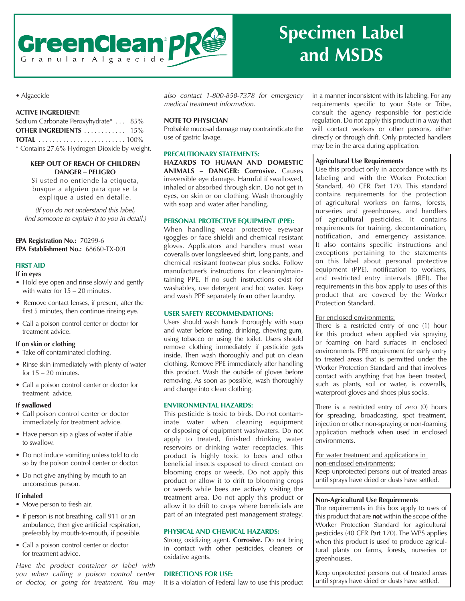

# **and MSDS**

# • Algaecide

# **ACTIVE INGREDIENT:**

| Sodium Carbonate Peroxyhydrate*  85%         |  |
|----------------------------------------------|--|
| <b>OTHER INGREDIENTS</b> 15%                 |  |
|                                              |  |
| * Contains 27.6% Hydrogen Dioxide by weight. |  |

# **KEEP OUT OF REACH OF CHILDREN DANGER – PELIGRO**

Si usted no entiende la etiqueta, busque a alguien para que se la explique a usted en detalle.

(If you do not understand this label, find someone to explain it to you in detail.)

**EPA Registration No.:** 70299-6 **EPA Establishment No.:** 68660-TX-001

# **FIRST AID**

## **If in eyes**

- Hold eye open and rinse slowly and gently with water for 15 – 20 minutes.
- Remove contact lenses, if present, after the first 5 minutes, then continue rinsing eye.
- Call a poison control center or doctor for treatment advice.

## **If on skin or clothing**

- Take off contaminated clothing.
- Rinse skin immediately with plenty of water for  $15 - 20$  minutes.
- Call a poison control center or doctor for treatment advice.

# **If swallowed**

- Call poison control center or doctor immediately for treatment advice.
- Have person sip a glass of water if able to swallow.
- Do not induce vomiting unless told to do so by the poison control center or doctor.
- Do not give anything by mouth to an unconscious person.

## **If inhaled**

- Move person to fresh air.
- If person is not breathing, call 911 or an ambulance, then give artificial respiration, preferably by mouth-to-mouth, if possible.
- Call a poison control center or doctor for treatment advice.

Have the product container or label with you when calling a poison control center or doctor, or going for treatment. You may also contact 1-800-858-7378 for emergency medical treatment information.

# **NOTE TO PHYSICIAN**

Probable mucosal damage may contraindicate the use of gastric lavage.

## **PRECAUTIONARY STATEMENTS:**

**HAZARDS TO HUMAN AND DOMESTIC ANIMALS – DANGER: Corrosive.** Causes irreversible eye damage. Harmful if swallowed, inhaled or absorbed through skin. Do not get in eyes, on skin or on clothing. Wash thoroughly with soap and water after handling.

# **PERSONAL PROTECTIVE EQUIPMENT (PPE):**

When handling wear protective eyewear (goggles or face shield) and chemical resistant gloves. Applicators and handlers must wear coveralls over longsleeved shirt, long pants, and chemical resistant footwear plus socks. Follow manufacturer's instructions for cleaning/maintaining PPE. If no such instructions exist for washables, use detergent and hot water. Keep and wash PPE separately from other laundry.

# **USER SAFETY RECOMMENDATIONS:**

Users should wash hands thoroughly with soap and water before eating, drinking, chewing gum, using tobacco or using the toilet. Users should remove clothing immediately if pesticide gets inside. Then wash thoroughly and put on clean clothing. Remove PPE immediately after handling this product. Wash the outside of gloves before removing. As soon as possible, wash thoroughly and change into clean clothing.

# **ENVIRONMENTAL HAZARDS:**

This pesticide is toxic to birds. Do not contaminate water when cleaning equipment or disposing of equipment washwaters. Do not apply to treated, finished drinking water reservoirs or drinking water receptacles. This product is highly toxic to bees and other beneficial insects exposed to direct contact on blooming crops or weeds. Do not apply this product or allow it to drift to blooming crops or weeds while bees are actively visiting the treatment area. Do not apply this product or allow it to drift to crops where beneficials are part of an integrated pest management strategy.

# **PHYSICAL AND CHEMICAL HAZARDS:**

Strong oxidizing agent. **Corrosive.** Do not bring in contact with other pesticides, cleaners or oxidative agents.

# **DIRECTIONS FOR USE:**

It is a violation of Federal law to use this product

in a manner inconsistent with its labeling. For any requirements specific to your State or Tribe, consult the agency responsible for pesticide regulation. Do not apply this product in a way that will contact workers or other persons, either directly or through drift. Only protected handlers may be in the area during application.

# **Agricultural Use Requirements**

Use this product only in accordance with its labeling and with the Worker Protection Standard, 40 CFR Part 170. This standard contains requirements for the protection of agricultural workers on farms, forests, nurseries and greenhouses, and handlers of agricultural pesticides. It contains requirements for training, decontamination, notification, and emergency assistance. It also contains specific instructions and exceptions pertaining to the statements on this label about personal protective equipment (PPE), notification to workers, and restricted entry intervals (REI). The requirements in this box apply to uses of this product that are covered by the Worker Protection Standard.

# For enclosed environments:

There is a restricted entry of one (1) hour for this product when applied via spraying or foaming on hard surfaces in enclosed environments. PPE requirement for early entry to treated areas that is permitted under the Worker Protection Standard and that involves contact with anything that has been treated, such as plants, soil or water, is coveralls, waterproof gloves and shoes plus socks.

There is a restricted entry of zero (0) hours for spreading, broadcasting, spot treatment, injection or other non-spraying or non-foaming application methods when used in enclosed environments.

For water treatment and applications in non-enclosed environments: Keep unprotected persons out of treated areas until sprays have dried or dusts have settled.

# **Non-Agricultural Use Requirements**

The requirements in this box apply to uses of this product that are **not** within the scope of the Worker Protection Standard for agricultural pesticides (40 CFR Part 170). The WPS applies when this product is used to produce agricultural plants on farms, forests, nurseries or greenhouses.

Keep unprotected persons out of treated areas until sprays have dried or dusts have settled.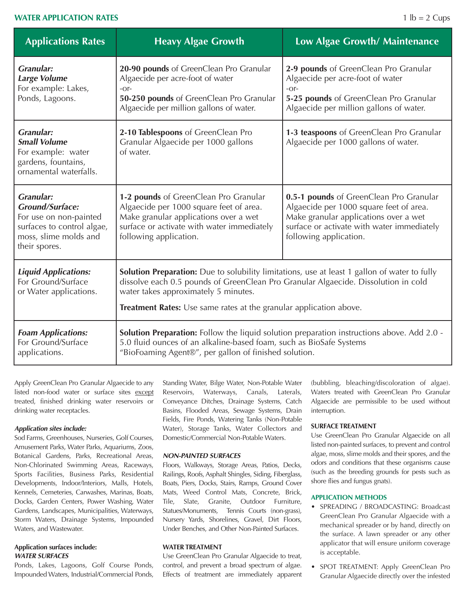# **WATER APPLICATION RATES** 1 lb = 2 Cups

| <b>Applications Rates</b>                                                                                                                    | <b>Heavy Algae Growth</b>                                                                                                                                                                                                                                                                                      | Low Algae Growth/ Maintenance                                                                                                                                                                       |
|----------------------------------------------------------------------------------------------------------------------------------------------|----------------------------------------------------------------------------------------------------------------------------------------------------------------------------------------------------------------------------------------------------------------------------------------------------------------|-----------------------------------------------------------------------------------------------------------------------------------------------------------------------------------------------------|
| <b>Granular:</b><br><b>Large Volume</b><br>For example: Lakes,<br>Ponds, Lagoons.                                                            | 20-90 pounds of GreenClean Pro Granular<br>Algaecide per acre-foot of water<br>$-Or-$<br>50-250 pounds of GreenClean Pro Granular<br>Algaecide per million gallons of water.                                                                                                                                   | 2-9 pounds of GreenClean Pro Granular<br>Algaecide per acre-foot of water<br>$-Or-$<br>5-25 pounds of GreenClean Pro Granular<br>Algaecide per million gallons of water.                            |
| <b>Granular:</b><br><b>Small Volume</b><br>For example: water<br>gardens, fountains,<br>ornamental waterfalls.                               | 2-10 Tablespoons of GreenClean Pro<br>Granular Algaecide per 1000 gallons<br>of water.                                                                                                                                                                                                                         | 1-3 teaspoons of GreenClean Pro Granular<br>Algaecide per 1000 gallons of water.                                                                                                                    |
| <b>Granular:</b><br><b>Ground/Surface:</b><br>For use on non-painted<br>surfaces to control algae,<br>moss, slime molds and<br>their spores. | 1-2 pounds of GreenClean Pro Granular<br>Algaecide per 1000 square feet of area.<br>Make granular applications over a wet<br>surface or activate with water immediately<br>following application.                                                                                                              | 0.5-1 pounds of GreenClean Pro Granular<br>Algaecide per 1000 square feet of area.<br>Make granular applications over a wet<br>surface or activate with water immediately<br>following application. |
| <b>Liquid Applications:</b><br>For Ground/Surface<br>or Water applications.                                                                  | <b>Solution Preparation:</b> Due to solubility limitations, use at least 1 gallon of water to fully<br>dissolve each 0.5 pounds of GreenClean Pro Granular Algaecide. Dissolution in cold<br>water takes approximately 5 minutes.<br><b>Treatment Rates:</b> Use same rates at the granular application above. |                                                                                                                                                                                                     |
| <b>Foam Applications:</b><br>For Ground/Surface<br>applications.                                                                             | <b>Solution Preparation:</b> Follow the liquid solution preparation instructions above. Add 2.0 -<br>5.0 fluid ounces of an alkaline-based foam, such as BioSafe Systems<br>"BioFoaming Agent®", per gallon of finished solution.                                                                              |                                                                                                                                                                                                     |

Apply GreenClean Pro Granular Algaecide to any listed non-food water or surface sites except treated, finished drinking water reservoirs or drinking water receptacles.

## **Application sites include:**

Sod Farms, Greenhouses, Nurseries, Golf Courses, Amusement Parks, Water Parks, Aquariums, Zoos, Botanical Gardens, Parks, Recreational Areas, Non-Chlorinated Swimming Areas, Raceways, Sports Facilities, Business Parks, Residential Developments, Indoor/Interiors, Malls, Hotels, Kennels, Cemeteries, Carwashes, Marinas, Boats, Docks, Garden Centers, Power Washing, Water Gardens, Landscapes, Municipalities, Waterways, Storm Waters, Drainage Systems, Impounded Waters, and Wastewater.

# **Application surfaces include: WATER SURFACES**

Ponds, Lakes, Lagoons, Golf Course Ponds, Impounded Waters, Industrial/Commercial Ponds,

Standing Water, Bilge Water, Non-Potable Water Reservoirs, Waterways, Canals, Laterals, Conveyance Ditches, Drainage Systems, Catch Basins, Flooded Areas, Sewage Systems, Drain Fields, Fire Ponds, Watering Tanks (Non-Potable Water), Storage Tanks, Water Collectors and Domestic/Commercial Non-Potable Waters.

#### **NON-PAINTED SURFACES**

Floors, Walkways, Storage Areas, Patios, Decks, Railings, Roofs, Asphalt Shingles, Siding, Fiberglass, Boats, Piers, Docks, Stairs, Ramps, Ground Cover Mats, Weed Control Mats, Concrete, Brick, Tile, Slate, Granite, Outdoor Furniture, Statues/Monuments, Tennis Courts (non-grass), Nursery Yards, Shorelines, Gravel, Dirt Floors, Under Benches, and Other Non-Painted Surfaces.

## **WATER TREATMENT**

Use GreenClean Pro Granular Algaecide to treat, control, and prevent a broad spectrum of algae. Effects of treatment are immediately apparent

(bubbling, bleaching/discoloration of algae). Waters treated with GreenClean Pro Granular Algaecide are permissible to be used without interruption.

#### **SURFACE TREATMENT**

Use GreenClean Pro Granular Algaecide on all listed non-painted surfaces, to prevent and control algae, moss, slime molds and their spores, and the odors and conditions that these organisms cause (such as the breeding grounds for pests such as shore flies and fungus gnats).

#### **APPLICATION METHODS**

- SPREADING / BROADCASTING: Broadcast GreenClean Pro Granular Algaecide with a mechanical spreader or by hand, directly on the surface. A lawn spreader or any other applicator that will ensure uniform coverage is acceptable.
- SPOT TREATMENT: Apply GreenClean Pro Granular Algaecide directly over the infested